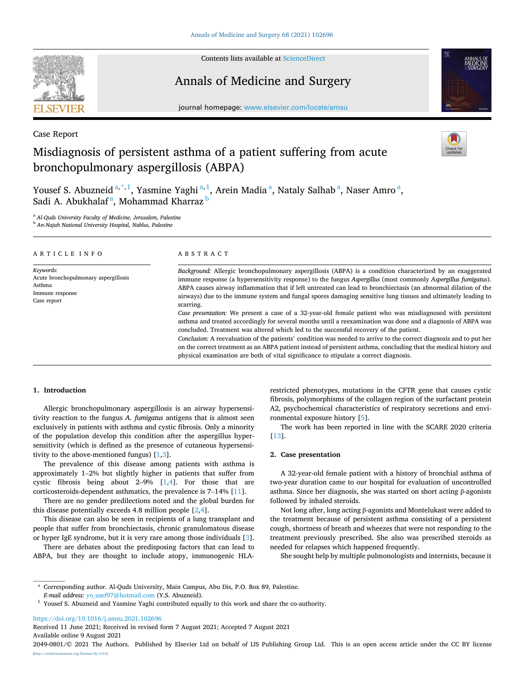

Contents lists available at [ScienceDirect](www.sciencedirect.com/science/journal/20490801)

## Annals of Medicine and Surgery



journal homepage: [www.elsevier.com/locate/amsu](https://www.elsevier.com/locate/amsu) 

Case Report

# Misdiagnosis of persistent asthma of a patient suffering from acute bronchopulmonary aspergillosis (ABPA)



Yousef S. Abuzneid<sup>a,\*,1</sup>, Yasmine Yaghi<sup>a,1</sup>, Arein Madia<sup>a</sup>, Nataly Salhab<sup>a</sup>, Naser Amro<sup>a</sup>, Sadi A. Abukhalaf<sup>a</sup>, Mohammad Kharraz <sup>b</sup>

<sup>a</sup> *Al-Quds University Faculty of Medicine, Jerusalem, Palestine* 

<sup>b</sup> *An-Najah National University Hospital, Nablus, Palestine* 

| ARTICLE INFO                                                                                  | ABSTRACT                                                                                                                                                                                                                                                                                                                                                                                                                                                                                                                                                                                                                                                                                                 |
|-----------------------------------------------------------------------------------------------|----------------------------------------------------------------------------------------------------------------------------------------------------------------------------------------------------------------------------------------------------------------------------------------------------------------------------------------------------------------------------------------------------------------------------------------------------------------------------------------------------------------------------------------------------------------------------------------------------------------------------------------------------------------------------------------------------------|
| Keywords:<br>Acute bronchopulmonary aspergillosis<br>Asthma<br>Immune response<br>Case report | Background: Allergic bronchopulmonary aspergillosis (ABPA) is a condition characterized by an exaggerated<br>immune response (a hypersensitivity response) to the fungus Aspergillus (most commonly Aspergillus fumigatus).<br>ABPA causes airway inflammation that if left untreated can lead to bronchiectasis (an abnormal dilation of the<br>airways) due to the immune system and fungal spores damaging sensitive lung tissues and ultimately leading to<br>scarring.<br>Case presentation: We present a case of a 32-year-old female patient who was misdiagnosed with persistent<br>asthma and treated accordingly for several months until a reexamination was done and a diagnosis of ABPA was |
|                                                                                               | concluded. Treatment was altered which led to the successful recovery of the patient.<br>Conclusion: A reevaluation of the patients' condition was needed to arrive to the correct diagnosis and to put her<br>on the correct treatment as an ABPA patient instead of persistent asthma, concluding that the medical history and<br>physical examination are both of vital significance to stipulate a correct diagnosis.                                                                                                                                                                                                                                                                                |

#### **1. Introduction**

Allergic bronchopulmonary aspergillosis is an airway hypersensitivity reaction to the fungus *A. fumigatus* antigens that is almost seen exclusively in patients with asthma and cystic fibrosis. Only a minority of the population develop this condition after the aspergillus hypersensitivity (which is defined as the presence of cutaneous hypersensitivity to the above-mentioned fungus)  $[1,3]$ .

The prevalence of this disease among patients with asthma is approximately 1–2% but slightly higher in patients that suffer from cystic fibrosis being about 2–9% [\[1](#page-2-0),[4](#page-2-0)]. For those that are corticosteroids-dependent asthmatics, the prevalence is 7–14% [\[11](#page-2-0)].

There are no gender predilections noted and the global burden for this disease potentially exceeds 4.8 million people [[2](#page-2-0),[4\]](#page-2-0).

This disease can also be seen in recipients of a lung transplant and people that suffer from bronchiectasis, chronic granulomatous disease or hyper IgE syndrome, but it is very rare among those individuals [[3](#page-2-0)].

There are debates about the predisposing factors that can lead to ABPA, but they are thought to include atopy, immunogenic HLA-

restricted phenotypes, mutations in the CFTR gene that causes cystic fibrosis, polymorphisms of the collagen region of the surfactant protein A2, psychochemical characteristics of respiratory secretions and environmental exposure history [\[5\]](#page-2-0).

The work has been reported in line with the SCARE 2020 criteria [[13\]](#page-2-0).

## **2. Case presentation**

A 32-year-old female patient with a history of bronchial asthma of two-year duration came to our hospital for evaluation of uncontrolled asthma. Since her diagnosis, she was started on short acting β-agonists followed by inhaled steroids.

Not long after, long acting β-agonists and Montelukast were added to the treatment because of persistent asthma consisting of a persistent cough, shortness of breath and wheezes that were not responding to the treatment previously prescribed. She also was prescribed steroids as needed for relapses which happened frequently.

She sought help by multiple pulmonologists and internists, because it

\* Corresponding author. Al-Quds University, Main Campus, Abu Dis, P.O. Box 89, Palestine.

<https://doi.org/10.1016/j.amsu.2021.102696>

Available online 9 August 2021 Received 11 June 2021; Received in revised form 7 August 2021; Accepted 7 August 2021

<sup>&</sup>lt;sup>1</sup> Yousef S. Abuzneid and Yasmine Yaghi contributed equally to this work and share the co-authority.

<sup>2049-0801/© 2021</sup> The Authors. Published by Elsevier Ltd on behalf of IJS Publishing Group Ltd. This is an open access article under the CC BY license [\(http://creativecommons.org/licenses/by/4.0/](http://creativecommons.org/licenses/by/4.0/)).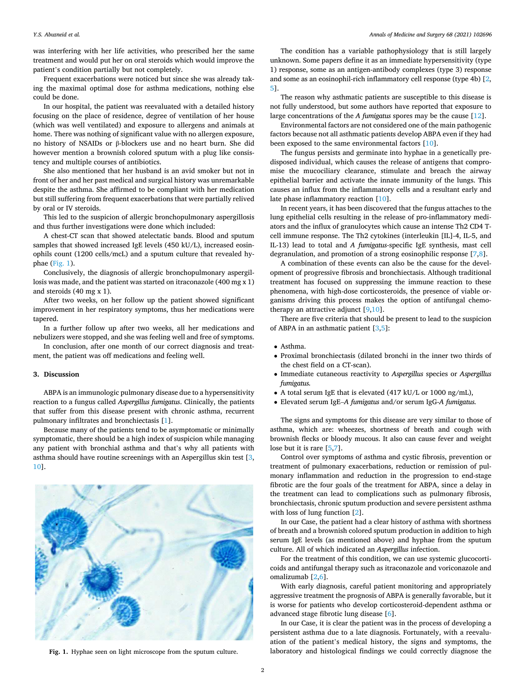was interfering with her life activities, who prescribed her the same treatment and would put her on oral steroids which would improve the patient's condition partially but not completely.

Frequent exacerbations were noticed but since she was already taking the maximal optimal dose for asthma medications, nothing else could be done.

In our hospital, the patient was reevaluated with a detailed history focusing on the place of residence, degree of ventilation of her house (which was well ventilated) and exposure to allergens and animals at home. There was nothing of significant value with no allergen exposure, no history of NSAIDs or β-blockers use and no heart burn. She did however mention a brownish colored sputum with a plug like consistency and multiple courses of antibiotics.

She also mentioned that her husband is an avid smoker but not in front of her and her past medical and surgical history was unremarkable despite the asthma. She affirmed to be compliant with her medication but still suffering from frequent exacerbations that were partially relived by oral or IV steroids.

This led to the suspicion of allergic bronchopulmonary aspergillosis and thus further investigations were done which included:

A chest-CT scan that showed atelectatic bands. Blood and sputum samples that showed increased IgE levels (450 kU/L), increased eosinophils count (1200 cells/mcL) and a sputum culture that revealed hyphae (Fig. 1).

Conclusively, the diagnosis of allergic bronchopulmonary aspergillosis was made, and the patient was started on itraconazole (400 mg x 1) and steroids (40 mg x 1).

After two weeks, on her follow up the patient showed significant improvement in her respiratory symptoms, thus her medications were tapered.

In a further follow up after two weeks, all her medications and nebulizers were stopped, and she was feeling well and free of symptoms.

In conclusion, after one month of our correct diagnosis and treatment, the patient was off medications and feeling well.

#### **3. Discussion**

ABPA is an immunologic pulmonary disease due to a hypersensitivity reaction to a fungus called *Aspergillus fumigatus*. Clinically, the patients that suffer from this disease present with chronic asthma, recurrent pulmonary infiltrates and bronchiectasis [\[1\]](#page-2-0).

Because many of the patients tend to be asymptomatic or minimally symptomatic, there should be a high index of suspicion while managing any patient with bronchial asthma and that's why all patients with asthma should have routine screenings with an Aspergillus skin test [[3](#page-2-0), [10\]](#page-2-0).



The condition has a variable pathophysiology that is still largely unknown. Some papers define it as an immediate hypersensitivity (type 1) response, some as an antigen-antibody complexes (type 3) response and some as an eosinophil-rich inflammatory cell response (type 4b) [[2](#page-2-0), [5](#page-2-0)].

The reason why asthmatic patients are susceptible to this disease is not fully understood, but some authors have reported that exposure to large concentrations of the *A fumigatus* spores may be the cause [[12](#page-2-0)].

Environmental factors are not considered one of the main pathogenic factors because not all asthmatic patients develop ABPA even if they had been exposed to the same environmental factors [[10\]](#page-2-0).

The fungus persists and germinate into hyphae in a genetically predisposed individual, which causes the release of antigens that compromise the mucociliary clearance, stimulate and breach the airway epithelial barrier and activate the innate immunity of the lungs. This causes an influx from the inflammatory cells and a resultant early and late phase inflammatory reaction [\[10](#page-2-0)].

In recent years, it has been discovered that the fungus attaches to the lung epithelial cells resulting in the release of pro-inflammatory mediators and the influx of granulocytes which cause an intense Th2 CD4 Tcell immune response. The Th2 cytokines (interleukin [IL]-4, IL-5, and IL-13) lead to total and *A fumigatus*-specific IgE synthesis, mast cell degranulation, and promotion of a strong eosinophilic response [[7](#page-2-0),[8](#page-2-0)].

A combination of these events can also be the cause for the development of progressive fibrosis and bronchiectasis. Although traditional treatment has focused on suppressing the immune reaction to these phenomena, with high-dose corticosteroids, the presence of viable organisms driving this process makes the option of antifungal chemotherapy an attractive adjunct  $[9,10]$ .

There are five criteria that should be present to lead to the suspicion of ABPA in an asthmatic patient [[3](#page-2-0),[5](#page-2-0)]:

- Asthma.
- Proximal bronchiectasis (dilated bronchi in the inner two thirds of the chest field on a CT-scan).
- Immediate cutaneous reactivity to *Aspergillus* species or *Aspergillus fumigatus.*
- A total serum IgE that is elevated (417 kU/L or 1000 ng/mL),
- Elevated serum IgE–*A fumigatus* and/or serum IgG-*A fumigatus.*

The signs and symptoms for this disease are very similar to those of asthma, which are: wheezes, shortness of breath and cough with brownish flecks or bloody mucous. It also can cause fever and weight lose but it is rare [\[5,7](#page-2-0)].

Control over symptoms of asthma and cystic fibrosis, prevention or treatment of pulmonary exacerbations, reduction or remission of pulmonary inflammation and reduction in the progression to end-stage fibrotic are the four goals of the treatment for ABPA, since a delay in the treatment can lead to complications such as pulmonary fibrosis, bronchiectasis, chronic sputum production and severe persistent asthma with loss of lung function [[2](#page-2-0)].

In our Case, the patient had a clear history of asthma with shortness of breath and a brownish colored sputum production in addition to high serum IgE levels (as mentioned above) and hyphae from the sputum culture. All of which indicated an *Aspergillus* infection.

For the treatment of this condition, we can use systemic glucocorticoids and antifungal therapy such as itraconazole and voriconazole and omalizumab [[2,6\]](#page-2-0).

With early diagnosis, careful patient monitoring and appropriately aggressive treatment the prognosis of ABPA is generally favorable, but it is worse for patients who develop corticosteroid-dependent asthma or advanced stage fibrotic lung disease [[6](#page-2-0)].

In our Case, it is clear the patient was in the process of developing a persistent asthma due to a late diagnosis. Fortunately, with a reevaluation of the patient's medical history, the signs and symptoms, the **Fig. 1.** Hyphae seen on light microscope from the sputum culture. laboratory and histological findings we could correctly diagnose the